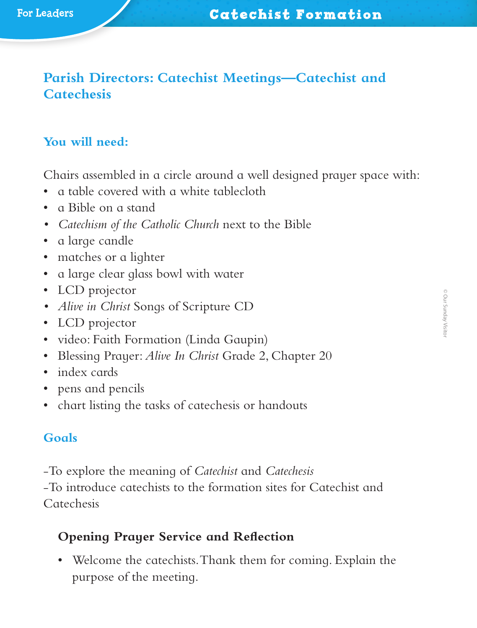# **Parish Directors: Catechist Meetings—Catechist and Catechesis**

# **You will need:**

Chairs assembled in a circle around a well designed prayer space with:

- a table covered with a white tablecloth
- a Bible on a stand
- *• Catechism of the Catholic Church* next to the Bible
- a large candle
- matches or a lighter
- a large clear glass bowl with water
- LCD projector
- *• Alive in Christ* Songs of Scripture CD
- LCD projector
- video: Faith Formation (Linda Gaupin)
- Blessing Prayer: *Alive In Christ* Grade 2, Chapter 20
- index cards
- pens and pencils
- chart listing the tasks of catechesis or handouts

### **Goals**

‑To explore the meaning of *Catechist* and *Catechesis*

‑To introduce catechists to the formation sites for Catechist and Catechesis

### **Opening Prayer Service and Reflection**

• Welcome the catechists. Thank them for coming. Explain the purpose of the meeting.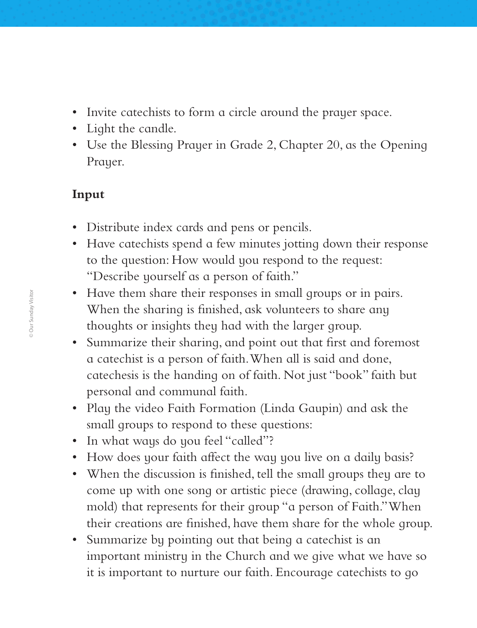- Invite catechists to form a circle around the prayer space.
- Light the candle.
- Use the Blessing Prayer in Grade 2, Chapter 20, as the Opening Prayer.

## **Input**

- Distribute index cards and pens or pencils.
- Have catechists spend a few minutes jotting down their response to the question: How would you respond to the request: "Describe yourself as a person of faith."
- Have them share their responses in small groups or in pairs. When the sharing is finished, ask volunteers to share any thoughts or insights they had with the larger group.
- Summarize their sharing, and point out that first and foremost a catechist is a person of faith. When all is said and done, catechesis is the handing on of faith. Not just "book" faith but personal and communal faith.
- Play the video Faith Formation (Linda Gaupin) and ask the small groups to respond to these questions:
- In what ways do you feel "called"?
- How does your faith affect the way you live on a daily basis?
- When the discussion is finished, tell the small groups they are to come up with one song or artistic piece (drawing, collage, clay mold) that represents for their group "a person of Faith." When their creations are finished, have them share for the whole group.
- Summarize by pointing out that being a catechist is an important ministry in the Church and we give what we have so it is important to nurture our faith. Encourage catechists to go